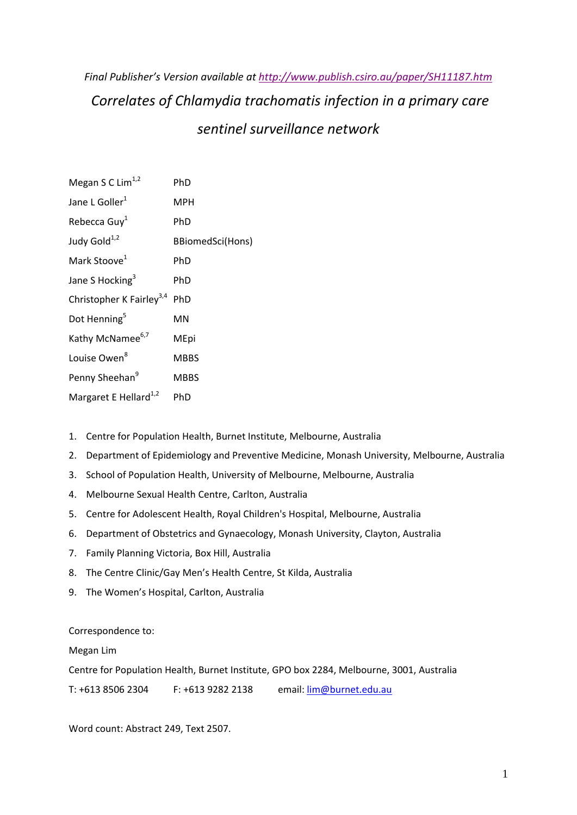# *Final Publisher's Version available at http://www.publish.csiro.au/paper/SH11187.htm Correlates of Chlamydia trachomatis infection in a primary care sentinel surveillance network*

| Megan S C Lim <sup>1,2</sup>         | PhD              |
|--------------------------------------|------------------|
| Jane L Goller <sup>1</sup>           | <b>MPH</b>       |
| Rebecca Guy <sup>1</sup>             | PhD              |
| Judy Gold <sup>1,2</sup>             | BBiomedSci(Hons) |
| Mark Stoove <sup>1</sup>             | PhD              |
| Jane S Hocking <sup>3</sup>          | PhD              |
| Christopher K Fairley <sup>3,4</sup> | PhD              |
| Dot Henning <sup>5</sup>             | MN               |
| Kathy McNamee <sup>6,7</sup>         | MEpi             |
| Louise Owen <sup>8</sup>             | <b>MBBS</b>      |
| Penny Sheehan <sup>9</sup>           | <b>MBBS</b>      |
| Margaret E Hellard <sup>1,2</sup>    | PhD              |

- 1. Centre for Population Health, Burnet Institute, Melbourne, Australia
- 2. Department of Epidemiology and Preventive Medicine, Monash University, Melbourne, Australia
- 3. School of Population Health, University of Melbourne, Melbourne, Australia
- 4. Melbourne Sexual Health Centre, Carlton, Australia
- 5. Centre for Adolescent Health, Royal Children's Hospital, Melbourne, Australia
- 6. Department of Obstetrics and Gynaecology, Monash University, Clayton, Australia
- 7. Family Planning Victoria, Box Hill, Australia
- 8. The Centre Clinic/Gay Men's Health Centre, St Kilda, Australia
- 9. The Women's Hospital, Carlton, Australia

Correspondence to:

Megan Lim

Centre for Population Health, Burnet Institute, GPO box 2284, Melbourne, 3001, Australia

T: +613 8506 2304 F: +613 9282 2138 email: lim@burnet.edu.au

Word count: Abstract 249, Text 2507.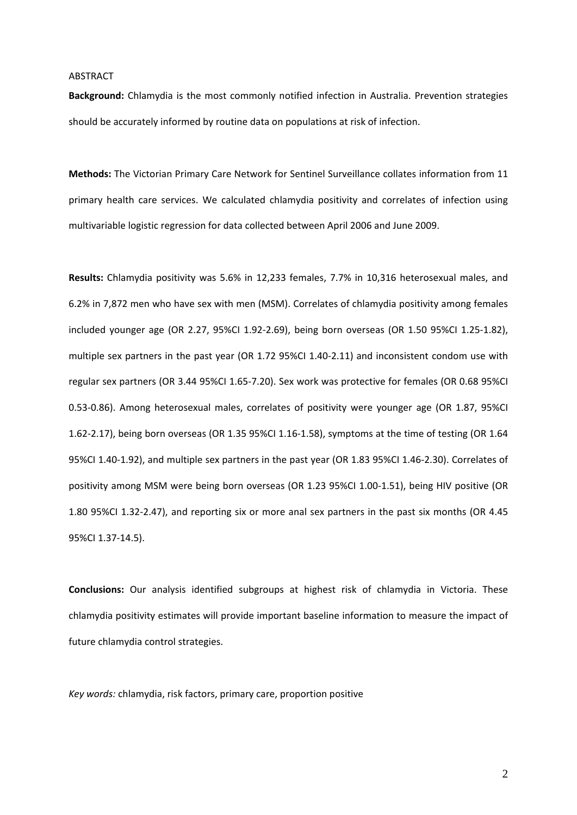## ABSTRACT

**Background:** Chlamydia is the most commonly notified infection in Australia. Prevention strategies should be accurately informed by routine data on populations at risk of infection.

**Methods:** The Victorian Primary Care Network for Sentinel Surveillance collates information from 11 primary health care services. We calculated chlamydia positivity and correlates of infection using multivariable logistic regression for data collected between April 2006 and June 2009.

**Results:** Chlamydia positivity was 5.6% in 12,233 females, 7.7% in 10,316 heterosexual males, and 6.2% in 7,872 men who have sex with men (MSM). Correlates of chlamydia positivity among females included younger age (OR 2.27, 95%CI 1.92‐2.69), being born overseas (OR 1.50 95%CI 1.25‐1.82), multiple sex partners in the past year (OR 1.72 95%CI 1.40‐2.11) and inconsistent condom use with regular sex partners (OR 3.44 95%CI 1.65‐7.20). Sex work was protective for females (OR 0.68 95%CI 0.53‐0.86). Among heterosexual males, correlates of positivity were younger age (OR 1.87, 95%CI 1.62‐2.17), being born overseas (OR 1.35 95%CI 1.16‐1.58), symptoms at the time of testing (OR 1.64 95%CI 1.40‐1.92), and multiple sex partners in the past year (OR 1.83 95%CI 1.46‐2.30). Correlates of positivity among MSM were being born overseas (OR 1.23 95%CI 1.00‐1.51), being HIV positive (OR 1.80 95%CI 1.32‐2.47), and reporting six or more anal sex partners in the past six months (OR 4.45 95%CI 1.37‐14.5).

**Conclusions:** Our analysis identified subgroups at highest risk of chlamydia in Victoria. These chlamydia positivity estimates will provide important baseline information to measure the impact of future chlamydia control strategies.

*Key words:* chlamydia, risk factors, primary care, proportion positive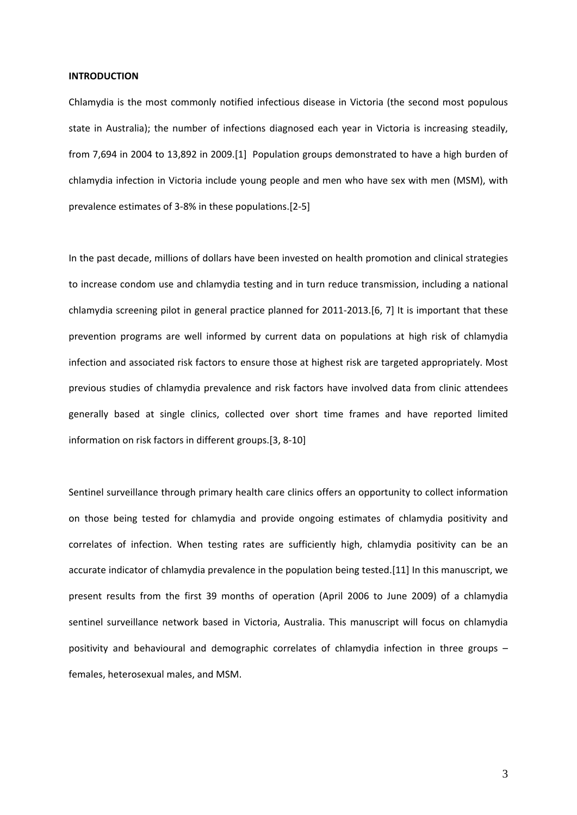#### **INTRODUCTION**

Chlamydia is the most commonly notified infectious disease in Victoria (the second most populous state in Australia); the number of infections diagnosed each year in Victoria is increasing steadily, from 7,694 in 2004 to 13,892 in 2009.[1] Population groups demonstrated to have a high burden of chlamydia infection in Victoria include young people and men who have sex with men (MSM), with prevalence estimates of 3‐8% in these populations.[2‐5]

In the past decade, millions of dollars have been invested on health promotion and clinical strategies to increase condom use and chlamydia testing and in turn reduce transmission, including a national chlamydia screening pilot in general practice planned for 2011‐2013.[6, 7] It is important that these prevention programs are well informed by current data on populations at high risk of chlamydia infection and associated risk factors to ensure those at highest risk are targeted appropriately. Most previous studies of chlamydia prevalence and risk factors have involved data from clinic attendees generally based at single clinics, collected over short time frames and have reported limited information on risk factors in different groups.[3, 8‐10]

Sentinel surveillance through primary health care clinics offers an opportunity to collect information on those being tested for chlamydia and provide ongoing estimates of chlamydia positivity and correlates of infection. When testing rates are sufficiently high, chlamydia positivity can be an accurate indicator of chlamydia prevalence in the population being tested.[11] In this manuscript, we present results from the first 39 months of operation (April 2006 to June 2009) of a chlamydia sentinel surveillance network based in Victoria, Australia. This manuscript will focus on chlamydia positivity and behavioural and demographic correlates of chlamydia infection in three groups – females, heterosexual males, and MSM.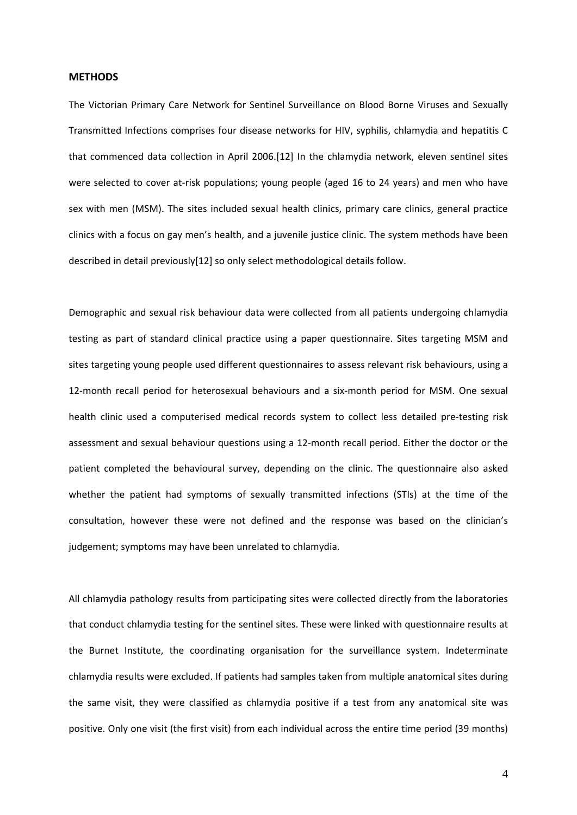## **METHODS**

The Victorian Primary Care Network for Sentinel Surveillance on Blood Borne Viruses and Sexually Transmitted Infections comprises four disease networks for HIV, syphilis, chlamydia and hepatitis C that commenced data collection in April 2006.[12] In the chlamydia network, eleven sentinel sites were selected to cover at-risk populations; young people (aged 16 to 24 years) and men who have sex with men (MSM). The sites included sexual health clinics, primary care clinics, general practice clinics with a focus on gay men's health, and a juvenile justice clinic. The system methods have been described in detail previously[12] so only select methodological details follow.

Demographic and sexual risk behaviour data were collected from all patients undergoing chlamydia testing as part of standard clinical practice using a paper questionnaire. Sites targeting MSM and sites targeting young people used different questionnaires to assess relevant risk behaviours, using a 12-month recall period for heterosexual behaviours and a six-month period for MSM. One sexual health clinic used a computerised medical records system to collect less detailed pre-testing risk assessment and sexual behaviour questions using a 12‐month recall period. Either the doctor or the patient completed the behavioural survey, depending on the clinic. The questionnaire also asked whether the patient had symptoms of sexually transmitted infections (STIs) at the time of the consultation, however these were not defined and the response was based on the clinician's judgement; symptoms may have been unrelated to chlamydia.

All chlamydia pathology results from participating sites were collected directly from the laboratories that conduct chlamydia testing for the sentinel sites. These were linked with questionnaire results at the Burnet Institute, the coordinating organisation for the surveillance system. Indeterminate chlamydia results were excluded. If patients had samples taken from multiple anatomical sites during the same visit, they were classified as chlamydia positive if a test from any anatomical site was positive. Only one visit (the first visit) from each individual across the entire time period (39 months)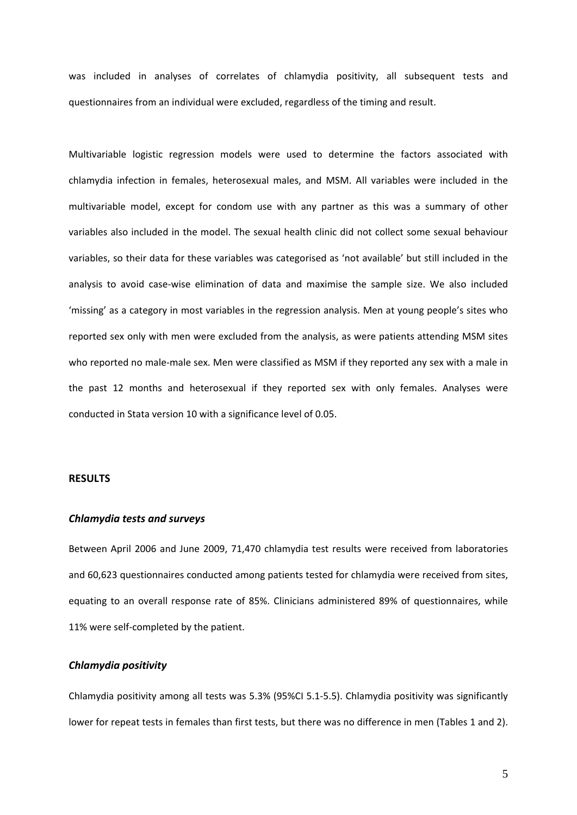was included in analyses of correlates of chlamydia positivity, all subsequent tests and questionnaires from an individual were excluded, regardless of the timing and result.

Multivariable logistic regression models were used to determine the factors associated with chlamydia infection in females, heterosexual males, and MSM. All variables were included in the multivariable model, except for condom use with any partner as this was a summary of other variables also included in the model. The sexual health clinic did not collect some sexual behaviour variables, so their data for these variables was categorised as 'not available' but still included in the analysis to avoid case‐wise elimination of data and maximise the sample size. We also included 'missing' as a category in most variables in the regression analysis. Men at young people's sites who reported sex only with men were excluded from the analysis, as were patients attending MSM sites who reported no male-male sex. Men were classified as MSM if they reported any sex with a male in the past 12 months and heterosexual if they reported sex with only females. Analyses were conducted in Stata version 10 with a significance level of 0.05.

## **RESULTS**

## *Chlamydia tests and surveys*

Between April 2006 and June 2009, 71,470 chlamydia test results were received from laboratories and 60,623 questionnaires conducted among patients tested for chlamydia were received from sites, equating to an overall response rate of 85%. Clinicians administered 89% of questionnaires, while 11% were self-completed by the patient.

## *Chlamydia positivity*

Chlamydia positivity among all tests was 5.3% (95%CI 5.1‐5.5). Chlamydia positivity was significantly lower for repeat tests in females than first tests, but there was no difference in men (Tables 1 and 2).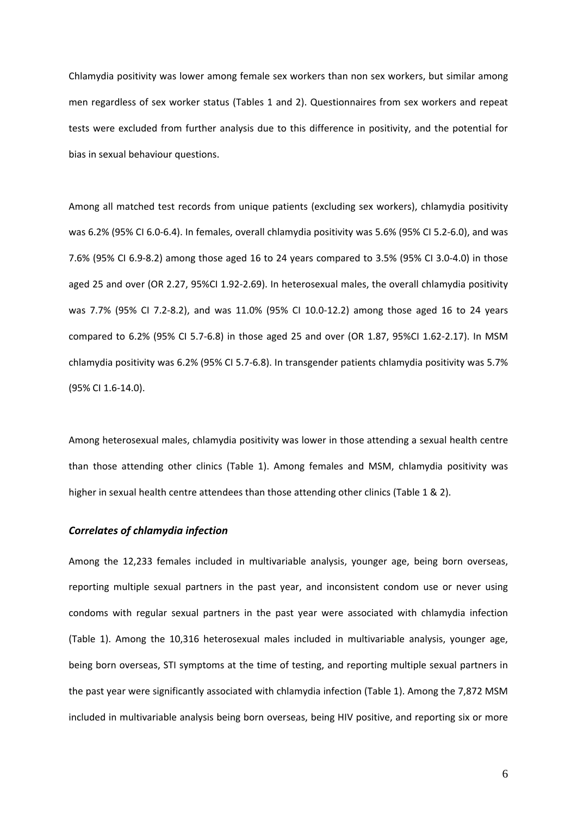Chlamydia positivity was lower among female sex workers than non sex workers, but similar among men regardless of sex worker status (Tables 1 and 2). Questionnaires from sex workers and repeat tests were excluded from further analysis due to this difference in positivity, and the potential for bias in sexual behaviour questions.

Among all matched test records from unique patients (excluding sex workers), chlamydia positivity was 6.2% (95% CI 6.0‐6.4). In females, overall chlamydia positivity was 5.6% (95% CI 5.2‐6.0), and was 7.6% (95% CI 6.9‐8.2) among those aged 16 to 24 years compared to 3.5% (95% CI 3.0‐4.0) in those aged 25 and over (OR 2.27, 95%CI 1.92‐2.69). In heterosexual males, the overall chlamydia positivity was 7.7% (95% CI 7.2‐8.2), and was 11.0% (95% CI 10.0‐12.2) among those aged 16 to 24 years compared to 6.2% (95% CI 5.7‐6.8) in those aged 25 and over (OR 1.87, 95%CI 1.62‐2.17). In MSM chlamydia positivity was 6.2% (95% CI 5.7‐6.8). In transgender patients chlamydia positivity was 5.7% (95% CI 1.6‐14.0).

Among heterosexual males, chlamydia positivity was lower in those attending a sexual health centre than those attending other clinics (Table 1). Among females and MSM, chlamydia positivity was higher in sexual health centre attendees than those attending other clinics (Table 1 & 2).

## *Correlates of chlamydia infection*

Among the 12,233 females included in multivariable analysis, younger age, being born overseas, reporting multiple sexual partners in the past year, and inconsistent condom use or never using condoms with regular sexual partners in the past year were associated with chlamydia infection (Table 1). Among the 10,316 heterosexual males included in multivariable analysis, younger age, being born overseas, STI symptoms at the time of testing, and reporting multiple sexual partners in the past year were significantly associated with chlamydia infection (Table 1). Among the 7,872 MSM included in multivariable analysis being born overseas, being HIV positive, and reporting six or more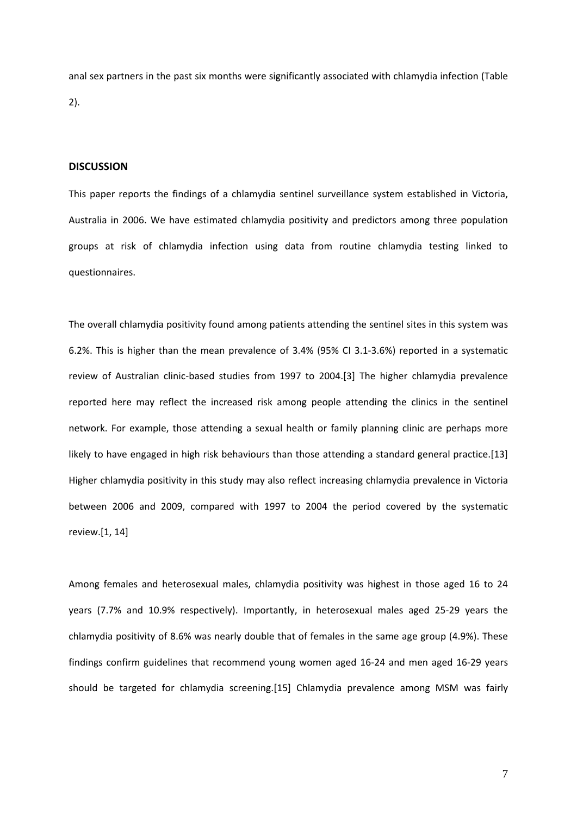anal sex partners in the past six months were significantly associated with chlamydia infection (Table 2).

## **DISCUSSION**

This paper reports the findings of a chlamydia sentinel surveillance system established in Victoria, Australia in 2006. We have estimated chlamydia positivity and predictors among three population groups at risk of chlamydia infection using data from routine chlamydia testing linked to questionnaires.

The overall chlamydia positivity found among patients attending the sentinel sites in this system was 6.2%. This is higher than the mean prevalence of 3.4% (95% CI 3.1‐3.6%) reported in a systematic review of Australian clinic-based studies from 1997 to 2004.[3] The higher chlamydia prevalence reported here may reflect the increased risk among people attending the clinics in the sentinel network. For example, those attending a sexual health or family planning clinic are perhaps more likely to have engaged in high risk behaviours than those attending a standard general practice.[13] Higher chlamydia positivity in this study may also reflect increasing chlamydia prevalence in Victoria between 2006 and 2009, compared with 1997 to 2004 the period covered by the systematic review.[1, 14]

Among females and heterosexual males, chlamydia positivity was highest in those aged 16 to 24 years (7.7% and 10.9% respectively). Importantly, in heterosexual males aged 25‐29 years the chlamydia positivity of 8.6% was nearly double that of females in the same age group (4.9%). These findings confirm guidelines that recommend young women aged 16‐24 and men aged 16‐29 years should be targeted for chlamydia screening.[15] Chlamydia prevalence among MSM was fairly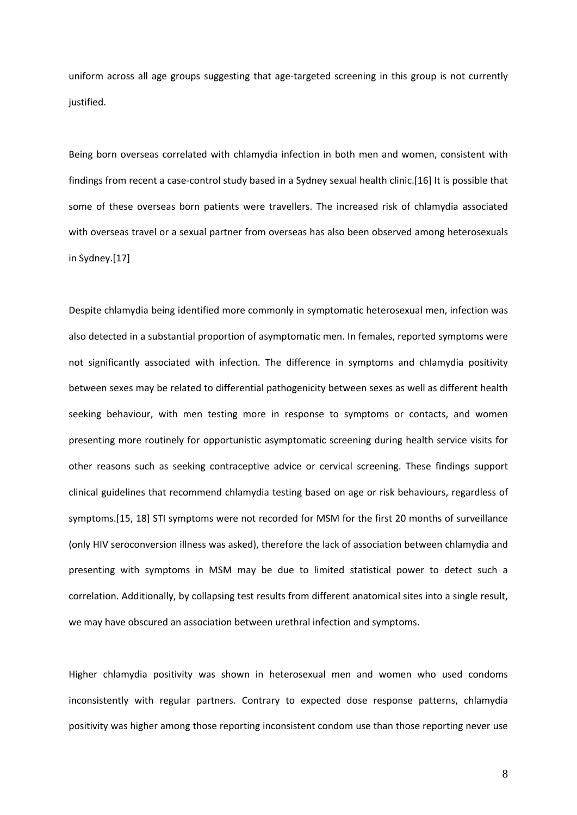uniform across all age groups suggesting that age-targeted screening in this group is not currently justified.

Being born overseas correlated with chlamydia infection in both men and women, consistent with findings from recent a case-control study based in a Sydney sexual health clinic.[16] It is possible that some of these overseas born patients were travellers. The increased risk of chlamydia associated with overseas travel or a sexual partner from overseas has also been observed among heterosexuals in Sydney.[17]

Despite chlamydia being identified more commonly in symptomatic heterosexual men, infection was also detected in a substantial proportion of asymptomatic men. In females, reported symptoms were not significantly associated with infection. The difference in symptoms and chlamydia positivity between sexes may be related to differential pathogenicity between sexes as well as different health seeking behaviour, with men testing more in response to symptoms or contacts, and women presenting more routinely for opportunistic asymptomatic screening during health service visits for other reasons such as seeking contraceptive advice or cervical screening. These findings support clinical guidelines that recommend chlamydia testing based on age or risk behaviours, regardless of symptoms.[15, 18] STI symptoms were not recorded for MSM for the first 20 months of surveillance (only HIV seroconversion illness was asked), therefore the lack of association between chlamydia and presenting with symptoms in MSM may be due to limited statistical power to detect such a correlation. Additionally, by collapsing test results from different anatomical sites into a single result, we may have obscured an association between urethral infection and symptoms.

Higher chlamydia positivity was shown in heterosexual men and women who used condoms inconsistently with regular partners. Contrary to expected dose response patterns, chlamydia positivity was higher among those reporting inconsistent condom use than those reporting never use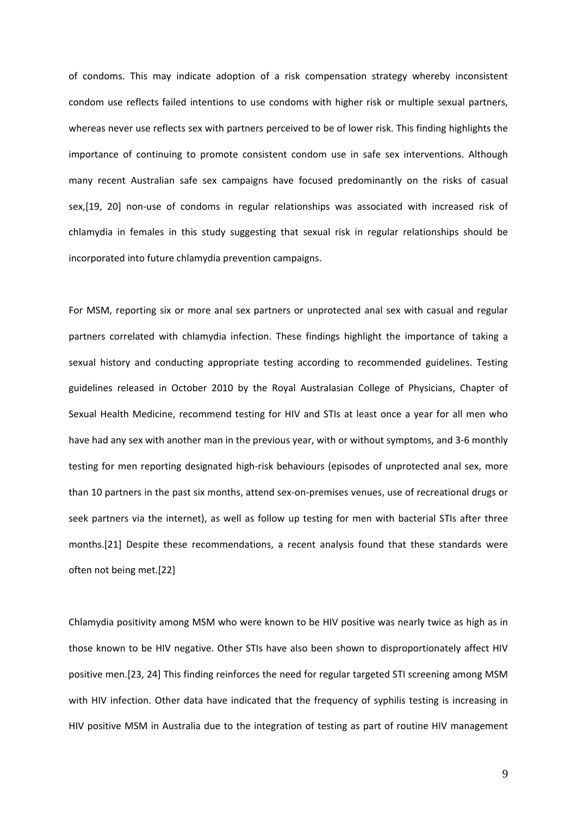of condoms. This may indicate adoption of a risk compensation strategy whereby inconsistent condom use reflects failed intentions to use condoms with higher risk or multiple sexual partners, whereas never use reflects sex with partners perceived to be of lower risk. This finding highlights the importance of continuing to promote consistent condom use in safe sex interventions. Although many recent Australian safe sex campaigns have focused predominantly on the risks of casual sex,[19, 20] non-use of condoms in regular relationships was associated with increased risk of chlamydia in females in this study suggesting that sexual risk in regular relationships should be incorporated into future chlamydia prevention campaigns.

For MSM, reporting six or more anal sex partners or unprotected anal sex with casual and regular partners correlated with chlamydia infection. These findings highlight the importance of taking a sexual history and conducting appropriate testing according to recommended guidelines. Testing guidelines released in October 2010 by the Royal Australasian College of Physicians, Chapter of Sexual Health Medicine, recommend testing for HIV and STIs at least once a year for all men who have had any sex with another man in the previous year, with or without symptoms, and 3-6 monthly testing for men reporting designated high‐risk behaviours (episodes of unprotected anal sex, more than 10 partners in the past six months, attend sex‐on‐premises venues, use of recreational drugs or seek partners via the internet), as well as follow up testing for men with bacterial STIs after three months.[21] Despite these recommendations, a recent analysis found that these standards were often not being met.[22]

Chlamydia positivity among MSM who were known to be HIV positive was nearly twice as high as in those known to be HIV negative. Other STIs have also been shown to disproportionately affect HIV positive men.[23, 24] This finding reinforces the need for regular targeted STI screening among MSM with HIV infection. Other data have indicated that the frequency of syphilis testing is increasing in HIV positive MSM in Australia due to the integration of testing as part of routine HIV management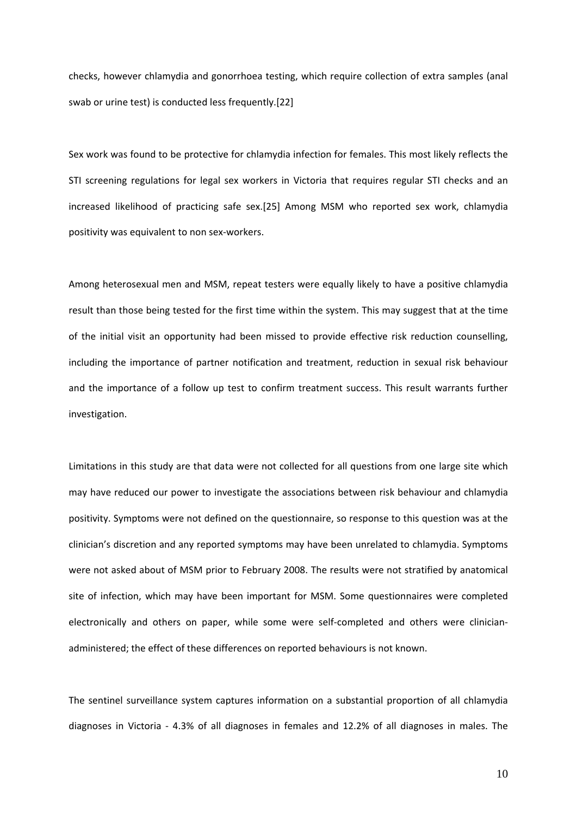checks, however chlamydia and gonorrhoea testing, which require collection of extra samples (anal swab or urine test) is conducted less frequently.[22]

Sex work was found to be protective for chlamydia infection for females. This most likely reflects the STI screening regulations for legal sex workers in Victoria that requires regular STI checks and an increased likelihood of practicing safe sex.[25] Among MSM who reported sex work, chlamydia positivity was equivalent to non sex‐workers.

Among heterosexual men and MSM, repeat testers were equally likely to have a positive chlamydia result than those being tested for the first time within the system. This may suggest that at the time of the initial visit an opportunity had been missed to provide effective risk reduction counselling, including the importance of partner notification and treatment, reduction in sexual risk behaviour and the importance of a follow up test to confirm treatment success. This result warrants further investigation.

Limitations in this study are that data were not collected for all questions from one large site which may have reduced our power to investigate the associations between risk behaviour and chlamydia positivity. Symptoms were not defined on the questionnaire, so response to this question was at the clinician's discretion and any reported symptoms may have been unrelated to chlamydia. Symptoms were not asked about of MSM prior to February 2008. The results were not stratified by anatomical site of infection, which may have been important for MSM. Some questionnaires were completed electronically and others on paper, while some were self‐completed and others were clinician‐ administered; the effect of these differences on reported behaviours is not known.

The sentinel surveillance system captures information on a substantial proportion of all chlamydia diagnoses in Victoria ‐ 4.3% of all diagnoses in females and 12.2% of all diagnoses in males. The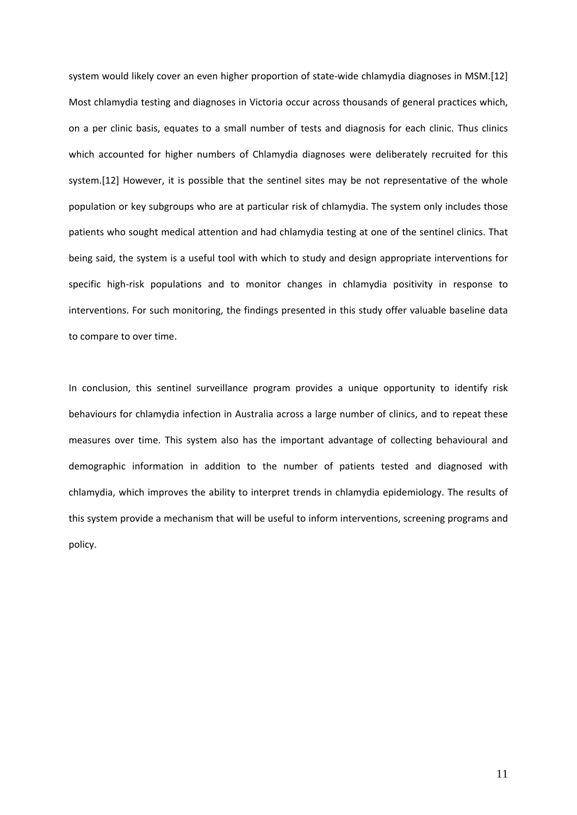system would likely cover an even higher proportion of state‐wide chlamydia diagnoses in MSM.[12] Most chlamydia testing and diagnoses in Victoria occur across thousands of general practices which, on a per clinic basis, equates to a small number of tests and diagnosis for each clinic. Thus clinics which accounted for higher numbers of Chlamydia diagnoses were deliberately recruited for this system.[12] However, it is possible that the sentinel sites may be not representative of the whole population or key subgroups who are at particular risk of chlamydia. The system only includes those patients who sought medical attention and had chlamydia testing at one of the sentinel clinics. That being said, the system is a useful tool with which to study and design appropriate interventions for specific high‐risk populations and to monitor changes in chlamydia positivity in response to interventions. For such monitoring, the findings presented in this study offer valuable baseline data to compare to over time.

In conclusion, this sentinel surveillance program provides a unique opportunity to identify risk behaviours for chlamydia infection in Australia across a large number of clinics, and to repeat these measures over time. This system also has the important advantage of collecting behavioural and demographic information in addition to the number of patients tested and diagnosed with chlamydia, which improves the ability to interpret trends in chlamydia epidemiology. The results of this system provide a mechanism that will be useful to inform interventions, screening programs and policy.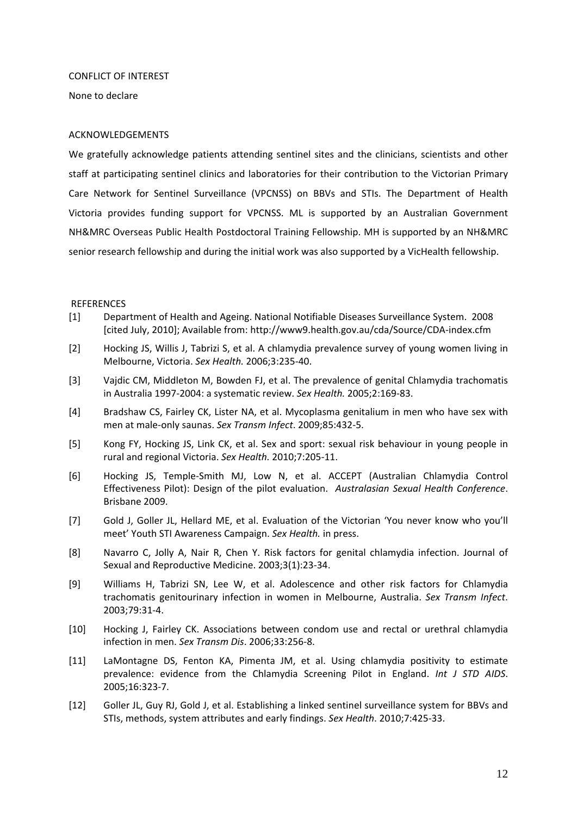## CONFLICT OF INTEREST

None to declare

## ACKNOWLEDGEMENTS

We gratefully acknowledge patients attending sentinel sites and the clinicians, scientists and other staff at participating sentinel clinics and laboratories for their contribution to the Victorian Primary Care Network for Sentinel Surveillance (VPCNSS) on BBVs and STIs. The Department of Health Victoria provides funding support for VPCNSS. ML is supported by an Australian Government NH&MRC Overseas Public Health Postdoctoral Training Fellowship. MH is supported by an NH&MRC senior research fellowship and during the initial work was also supported by a VicHealth fellowship.

## **REFERENCES**

- [1] Department of Health and Ageing. National Notifiable Diseases Surveillance System. 2008 [cited July, 2010]; Available from: http://www9.health.gov.au/cda/Source/CDA‐index.cfm
- [2] Hocking JS, Willis J, Tabrizi S, et al. A chlamydia prevalence survey of young women living in Melbourne, Victoria. *Sex Health.* 2006;3:235‐40.
- [3] Vajdic CM, Middleton M, Bowden FJ, et al. The prevalence of genital Chlamydia trachomatis in Australia 1997‐2004: a systematic review. *Sex Health.* 2005;2:169‐83.
- [4] Bradshaw CS, Fairley CK, Lister NA, et al. Mycoplasma genitalium in men who have sex with men at male‐only saunas. *Sex Transm Infect*. 2009;85:432‐5.
- [5] Kong FY, Hocking JS, Link CK, et al. Sex and sport: sexual risk behaviour in young people in rural and regional Victoria. *Sex Health.* 2010;7:205‐11.
- [6] Hocking JS, Temple‐Smith MJ, Low N, et al. ACCEPT (Australian Chlamydia Control Effectiveness Pilot): Design of the pilot evaluation. *Australasian Sexual Health Conference*. Brisbane 2009.
- [7] Gold J, Goller JL, Hellard ME, et al. Evaluation of the Victorian 'You never know who you'll meet' Youth STI Awareness Campaign. *Sex Health.* in press.
- [8] Navarro C, Jolly A, Nair R, Chen Y. Risk factors for genital chlamydia infection. Journal of Sexual and Reproductive Medicine. 2003;3(1):23‐34.
- [9] Williams H, Tabrizi SN, Lee W, et al. Adolescence and other risk factors for Chlamydia trachomatis genitourinary infection in women in Melbourne, Australia. *Sex Transm Infect*. 2003;79:31‐4.
- [10] Hocking J, Fairley CK. Associations between condom use and rectal or urethral chlamydia infection in men. *Sex Transm Dis*. 2006;33:256‐8.
- [11] LaMontagne DS, Fenton KA, Pimenta JM, et al. Using chlamydia positivity to estimate prevalence: evidence from the Chlamydia Screening Pilot in England. *Int J STD AIDS*. 2005;16:323‐7.
- [12] Goller JL, Guy RJ, Gold J, et al. Establishing a linked sentinel surveillance system for BBVs and STIs, methods, system attributes and early findings. *Sex Health*. 2010;7:425‐33.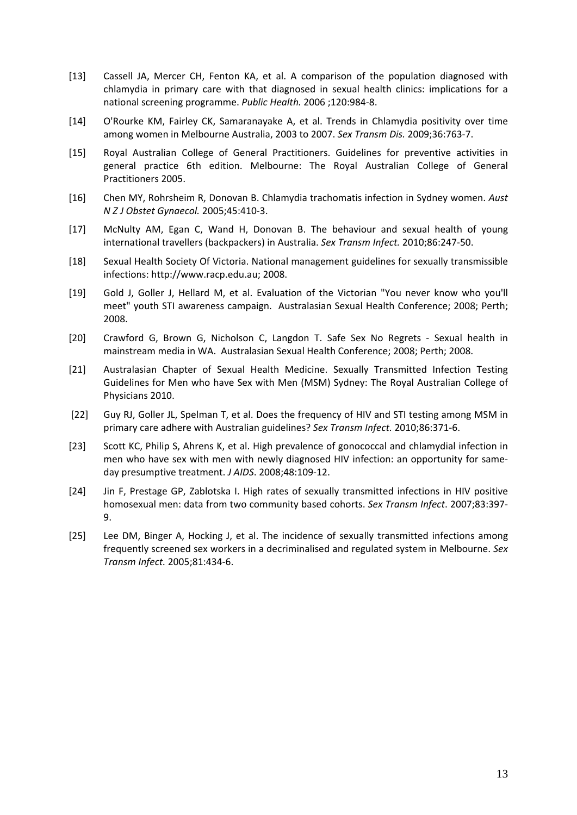- [13] Cassell JA, Mercer CH, Fenton KA, et al. A comparison of the population diagnosed with chlamydia in primary care with that diagnosed in sexual health clinics: implications for a national screening programme. *Public Health.* 2006 ;120:984‐8.
- [14] O'Rourke KM, Fairley CK, Samaranayake A, et al. Trends in Chlamydia positivity over time among women in Melbourne Australia, 2003 to 2007. *Sex Transm Dis.* 2009;36:763‐7.
- [15] Royal Australian College of General Practitioners. Guidelines for preventive activities in general practice 6th edition. Melbourne: The Royal Australian College of General Practitioners 2005.
- [16] Chen MY, Rohrsheim R, Donovan B. Chlamydia trachomatis infection in Sydney women. *Aust N Z J Obstet Gynaecol.* 2005;45:410‐3.
- [17] McNulty AM, Egan C, Wand H, Donovan B. The behaviour and sexual health of young international travellers (backpackers) in Australia. *Sex Transm Infect.* 2010;86:247‐50.
- [18] Sexual Health Society Of Victoria. National management guidelines for sexually transmissible infections: http://www.racp.edu.au; 2008.
- [19] Gold J, Goller J, Hellard M, et al. Evaluation of the Victorian "You never know who you'll meet" youth STI awareness campaign. Australasian Sexual Health Conference; 2008; Perth; 2008.
- [20] Crawford G, Brown G, Nicholson C, Langdon T. Safe Sex No Regrets Sexual health in mainstream media in WA. Australasian Sexual Health Conference; 2008; Perth; 2008.
- [21] Australasian Chapter of Sexual Health Medicine. Sexually Transmitted Infection Testing Guidelines for Men who have Sex with Men (MSM) Sydney: The Royal Australian College of Physicians 2010.
- [22] Guy RJ, Goller JL, Spelman T, et al. Does the frequency of HIV and STI testing among MSM in primary care adhere with Australian guidelines? *Sex Transm Infect.* 2010;86:371‐6.
- [23] Scott KC, Philip S, Ahrens K, et al. High prevalence of gonococcal and chlamydial infection in men who have sex with men with newly diagnosed HIV infection: an opportunity for sameday presumptive treatment. *J AIDS*. 2008;48:109‐12.
- [24] Jin F, Prestage GP, Zablotska I. High rates of sexually transmitted infections in HIV positive homosexual men: data from two community based cohorts. *Sex Transm Infect*. 2007;83:397‐ 9.
- [25] Lee DM, Binger A, Hocking J, et al. The incidence of sexually transmitted infections among frequently screened sex workers in a decriminalised and regulated system in Melbourne. *Sex Transm Infect.* 2005;81:434‐6.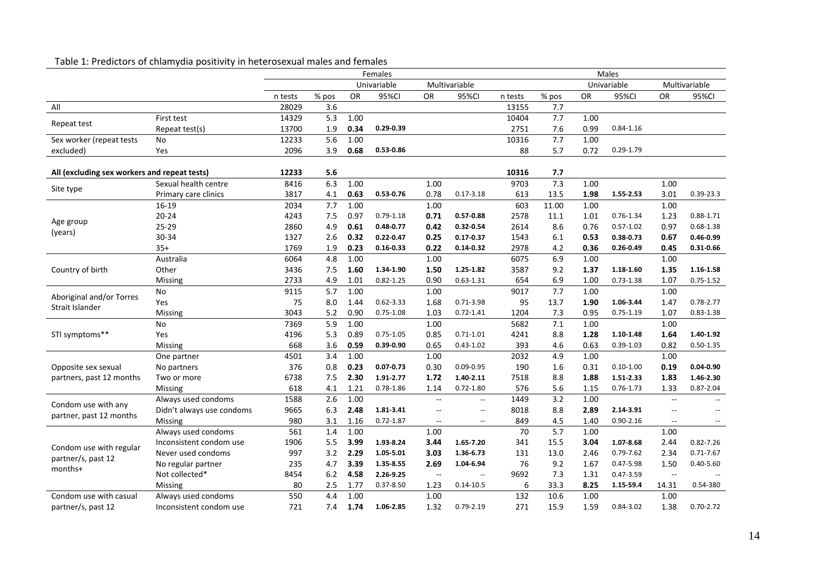|                                                                                                                                                                                                                                                        |                           |         |       |           | Females       |                          |                          |                                            |               |           | Males         |           |                          |
|--------------------------------------------------------------------------------------------------------------------------------------------------------------------------------------------------------------------------------------------------------|---------------------------|---------|-------|-----------|---------------|--------------------------|--------------------------|--------------------------------------------|---------------|-----------|---------------|-----------|--------------------------|
|                                                                                                                                                                                                                                                        |                           |         |       |           | Univariable   |                          | Multivariable            |                                            | Univariable   |           | Multivariable |           |                          |
|                                                                                                                                                                                                                                                        |                           | n tests | % pos | <b>OR</b> | 95%CI         | <b>OR</b>                | 95%CI                    | n tests                                    | % pos         | <b>OR</b> | 95%CI         | <b>OR</b> | 95%CI                    |
| All                                                                                                                                                                                                                                                    |                           | 28029   | 3.6   |           |               |                          |                          | 13155                                      | 7.7           |           |               |           |                          |
|                                                                                                                                                                                                                                                        | First test                | 14329   | 5.3   | 1.00      |               |                          |                          | 10404                                      | 7.7           | 1.00      |               |           |                          |
|                                                                                                                                                                                                                                                        | Repeat test(s)            | 13700   | 1.9   | 0.34      | $0.29 - 0.39$ |                          |                          | 2751                                       | 7.6           | 0.99      | $0.84 - 1.16$ |           |                          |
| Sex worker (repeat tests                                                                                                                                                                                                                               | No                        | 12233   | 5.6   | 1.00      |               |                          |                          | 10316                                      | 7.7           | 1.00      |               |           |                          |
| excluded)                                                                                                                                                                                                                                              | Yes                       | 2096    | 3.9   | 0.68      | $0.53 - 0.86$ |                          |                          | 88                                         | 5.7           | 0.72      | $0.29 - 1.79$ |           |                          |
|                                                                                                                                                                                                                                                        |                           |         |       |           |               |                          |                          |                                            |               |           |               |           |                          |
| All (excluding sex workers and repeat tests)                                                                                                                                                                                                           |                           | 12233   | 5.6   |           |               |                          |                          | 10316                                      | 7.7           |           |               |           |                          |
|                                                                                                                                                                                                                                                        | Sexual health centre      | 8416    | 6.3   | 1.00      |               | 1.00                     |                          | 9703                                       | 7.3           | 1.00      |               | 1.00      |                          |
|                                                                                                                                                                                                                                                        | Primary care clinics      | 3817    | 4.1   | 0.63      | $0.53 - 0.76$ | 0.78                     | $0.17 - 3.18$            | 613                                        | 13.5          | 1.98      | 1.55-2.53     | 3.01      | $0.39 - 23.3$            |
|                                                                                                                                                                                                                                                        | 16-19                     | 2034    | 7.7   | 1.00      |               | 1.00                     |                          | 603                                        | 11.00         | 1.00      |               | 1.00      |                          |
|                                                                                                                                                                                                                                                        | $20 - 24$                 | 4243    | 7.5   | 0.97      | $0.79 - 1.18$ | 0.71                     | $0.57 - 0.88$            | 2578                                       | 11.1          | 1.01      | $0.76 - 1.34$ | 1.23      | $0.88 - 1.71$            |
|                                                                                                                                                                                                                                                        | 25-29                     | 2860    | 4.9   | 0.61      | $0.48 - 0.77$ | 0.42                     | $0.32 - 0.54$            | 2614                                       | 8.6           | 0.76      | $0.57 - 1.02$ | 0.97      | $0.68 - 1.38$            |
|                                                                                                                                                                                                                                                        | 30-34                     | 1327    | 2.6   | 0.32      | $0.22 - 0.47$ | 0.25                     | $0.17 - 0.37$            | 1543                                       | 6.1           | 0.53      | $0.38 - 0.73$ | 0.67      | $0.46 - 0.99$            |
|                                                                                                                                                                                                                                                        | $35+$                     | 1769    | 1.9   | 0.23      | $0.16 - 0.33$ | 0.22                     | $0.14 - 0.32$            | 2978                                       | 4.2           | 0.36      | $0.26 - 0.49$ | 0.45      | 0.31-0.66                |
| Country of birth                                                                                                                                                                                                                                       | Australia                 | 6064    | 4.8   | 1.00      |               | 1.00                     |                          | 6075                                       | 6.9           | 1.00      |               | 1.00      |                          |
|                                                                                                                                                                                                                                                        | Other                     | 3436    | 7.5   | 1.60      | 1.34-1.90     | 1.50                     | 1.25-1.82                | 3587                                       | 9.2           | 1.37      | 1.18-1.60     | 1.35      | 1.16-1.58                |
|                                                                                                                                                                                                                                                        | Missing                   | 2733    | 4.9   | 1.01      | $0.82 - 1.25$ | 0.90                     | $0.63 - 1.31$            | 654                                        | 6.9           | 1.00      | $0.73 - 1.38$ | 1.07      | $0.75 - 1.52$            |
| Aboriginal and/or Torres                                                                                                                                                                                                                               | No                        | 9115    | 5.7   | 1.00      |               | 1.00                     |                          | 9017                                       | 7.7           | 1.00      |               | 1.00      |                          |
|                                                                                                                                                                                                                                                        | Yes                       | 75      | 8.0   | 1.44      | $0.62 - 3.33$ | 1.68                     | $0.71 - 3.98$            | 95                                         | 13.7          | 1.90      | 1.06-3.44     | 1.47      | $0.78 - 2.77$            |
|                                                                                                                                                                                                                                                        | Missing                   | 3043    | 5.2   | 0.90      | $0.75 - 1.08$ | 1.03                     | $0.72 - 1.41$            | 7.3<br>1204<br>0.95<br>7.1<br>5682<br>1.00 | $0.75 - 1.19$ | 1.07      | $0.83 - 1.38$ |           |                          |
|                                                                                                                                                                                                                                                        | No                        | 7369    | 5.9   | 1.00      |               | 1.00                     |                          |                                            |               |           |               | 1.00      |                          |
| Repeat test<br>Site type<br>Age group<br>(years)<br>Strait Islander<br>STI symptoms**<br>Opposite sex sexual<br>partners, past 12 months<br>Condom use with any<br>partner, past 12 months<br>Condom use with regular<br>partner/s, past 12<br>months+ | Yes                       | 4196    | 5.3   | 0.89      | $0.75 - 1.05$ | 0.85                     | $0.71 - 1.01$            | 4241                                       | 8.8           | 1.28      | 1.10-1.48     | 1.64      | 1.40-1.92                |
|                                                                                                                                                                                                                                                        | Missing                   | 668     | 3.6   | 0.59      | $0.39 - 0.90$ | 0.65                     | $0.43 - 1.02$            | 393                                        | 4.6           | 0.63      | $0.39 - 1.03$ | 0.82      | $0.50 - 1.35$            |
|                                                                                                                                                                                                                                                        | One partner               | 4501    | 3.4   | 1.00      |               | 1.00                     |                          | 2032                                       | 4.9           | 1.00      |               | 1.00      |                          |
|                                                                                                                                                                                                                                                        | No partners               | 376     | 0.8   | 0.23      | $0.07 - 0.73$ | 0.30                     | $0.09 - 0.95$            | 190                                        | 1.6           | 0.31      | $0.10 - 1.00$ | 0.19      | $0.04 - 0.90$            |
|                                                                                                                                                                                                                                                        | Two or more               | 6738    | 7.5   | 2.30      | 1.91-2.77     | 1.72                     | 1.40-2.11                | 7518                                       | 8.8           | 1.88      | 1.51-2.33     | 1.83      | 1.46-2.30                |
|                                                                                                                                                                                                                                                        | <b>Missing</b>            | 618     | 4.1   | 1.21      | $0.78 - 1.86$ | 1.14                     | $0.72 - 1.80$            | 576                                        | 5.6           | 1.15      | $0.76 - 1.73$ | 1.33      | $0.87 - 2.04$            |
|                                                                                                                                                                                                                                                        | Always used condoms       | 1588    | 2.6   | 1.00      |               | $-$                      | $\overline{\phantom{a}}$ | 1449                                       | 3.2           | 1.00      |               | $\sim$    | $\overline{\phantom{a}}$ |
|                                                                                                                                                                                                                                                        | Didn't always use condoms | 9665    | 6.3   | 2.48      | 1.81-3.41     | $-$                      | $\overline{\phantom{a}}$ | 8018                                       | 8.8           | 2.89      | 2.14-3.91     | $-$       | $\overline{\phantom{a}}$ |
|                                                                                                                                                                                                                                                        | Missing                   | 980     | 3.1   | 1.16      | $0.72 - 1.87$ | $\overline{\phantom{a}}$ | $\overline{\phantom{a}}$ | 849                                        | 4.5           | 1.40      | $0.90 - 2.16$ | $-\!$     | $\overline{\phantom{a}}$ |
|                                                                                                                                                                                                                                                        | Always used condoms       | 561     | 1.4   | 1.00      |               | 1.00                     |                          | 70                                         | 5.7           | 1.00      |               | 1.00      |                          |
|                                                                                                                                                                                                                                                        | Inconsistent condom use   | 1906    | 5.5   | 3.99      | 1.93-8.24     | 3.44                     | 1.65-7.20                | 341                                        | 15.5          | 3.04      | 1.07-8.68     | 2.44      | $0.82 - 7.26$            |
|                                                                                                                                                                                                                                                        | Never used condoms        | 997     | 3.2   | 2.29      | 1.05-5.01     | 3.03                     | 1.36-6.73                | 131                                        | 13.0          | 2.46      | $0.79 - 7.62$ | 2.34      | $0.71 - 7.67$            |
|                                                                                                                                                                                                                                                        | No regular partner        | 235     | 4.7   | 3.39      | 1.35-8.55     | 2.69                     | 1.04-6.94                | 76                                         | 9.2           | 1.67      | $0.47 - 5.98$ | 1.50      | $0.40 - 5.60$            |
|                                                                                                                                                                                                                                                        | Not collected*            | 8454    | 6.2   | 4.58      | 2.26-9.25     | $\sim$                   | $\sim$                   | 9692                                       | 7.3           | 1.31      | $0.47 - 3.59$ | $\sim$    | $\overline{\phantom{a}}$ |

Missing 80 2.5 1.77 0.37‐8.50 1.23 0.14‐10.5 6 33.3 **8.25 1.15‐59.4** 14.31 0.54‐<sup>380</sup>

use 721 7.4 **1.74 1.06‐2.85** 1.32 0.79‐2.19 271 15.9 1.59 0.84‐3.02 1.38 0.70‐2.72

Always used condoms 650 4.4 1.00 1.00 1.00 132 10.6 1.00 1.00

#### Table 1: Predictors of chlamydia positivity in heterosexual males and females

Condom use with casual partner/s, past 12

Inconsistent condom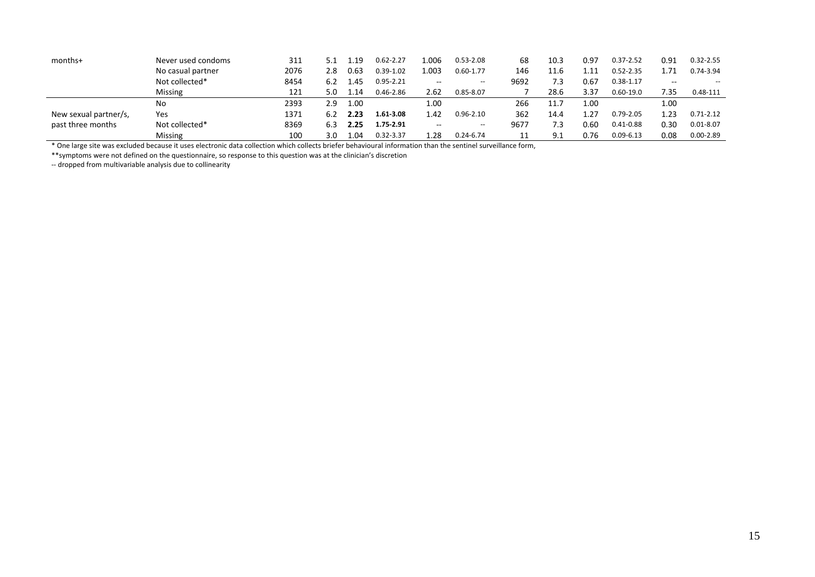| months+                                    | Never used condoms | 311  |     | .19. | $0.62 - 2.27$ | L.006 | $0.53 - 2.08$            | 68   | 10.3 | 0.97             | $0.37 - 2.52$ | 0.91  | $0.32 - 2.55$            |
|--------------------------------------------|--------------------|------|-----|------|---------------|-------|--------------------------|------|------|------------------|---------------|-------|--------------------------|
|                                            | No casual partner  | 2076 | 2.8 | 0.63 | $0.39 - 1.02$ | L.003 | $0.60 - 1.77$            | 146  | 11.6 | $\overline{.11}$ | $0.52 - 2.35$ | 1.71  | 0.74-3.94                |
|                                            | Not collected*     | 8454 | 6.2 | 1.45 | $0.95 - 2.21$ | $- -$ | $\overline{\phantom{a}}$ | 9692 | 7.3  | 0.67             | $0.38 - 1.17$ | $- -$ | $\overline{\phantom{a}}$ |
|                                            | <b>Missing</b>     | 121  | 5.0 | 1.14 | $0.46 - 2.86$ | 2.62  | $0.85 - 8.07$            |      | 28.6 | 3.37             | $0.60 - 19.0$ | 7.35  | 0.48-111                 |
| New sexual partner/s,<br>past three months | No                 | 2393 | 2.9 | 1.00 |               | 1.00  |                          | 266  | 11.7 | 1.00             |               | 1.00  |                          |
|                                            | Yes                | 1371 | 6.2 | 2.23 | 1.61-3.08     | 1.42  | $0.96 - 2.10$            | 362  | 14.4 | 1.27             | $0.79 - 2.05$ | 1.23  | $0.71 - 2.12$            |
|                                            | Not collected*     | 8369 | 6.3 | 2.25 | $1.75 - 2.91$ | $- -$ | $- -$                    | 9677 | 7.3  | 0.60             | $0.41 - 0.88$ | 0.30  | $0.01 - 8.07$            |
|                                            | <b>Missing</b>     | 100  | 3.0 | 1.04 | $0.32 - 3.37$ | .28.  | $0.24 - 6.74$            | 11   | 9.1  | 0.76             | $0.09 - 6.13$ | 0.08  | $0.00 - 2.89$            |

\* One large site was excluded because it uses electronic data collection which collects briefer behavioural information than the sentinel surveillance form,

\*\*symptoms were not defined on the questionnaire, so response to this question was at the clinician's discretion

‐‐ dropped from multivariable analysis due to collinearity